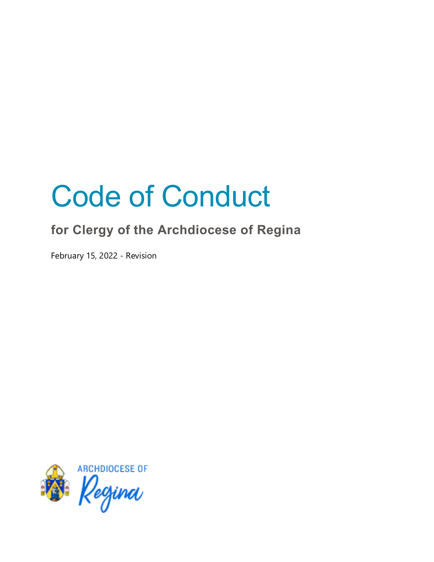# Code of Conduct

## **for Clergy of the Archdiocese of Regina**

February 15, 2022 - Revision

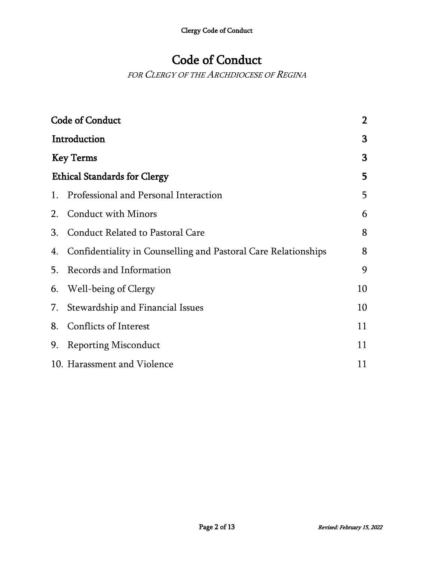## Code of Conduct

FOR CLERGY OF THE ARCHDIOCESE OF REGINA

| <b>Code of Conduct</b>              |                                                                |    |
|-------------------------------------|----------------------------------------------------------------|----|
| Introduction                        |                                                                |    |
| <b>Key Terms</b>                    |                                                                | 3  |
| <b>Ethical Standards for Clergy</b> |                                                                |    |
| 1.                                  | Professional and Personal Interaction                          | 5  |
| 2.                                  | <b>Conduct with Minors</b>                                     | 6  |
| 3.                                  | Conduct Related to Pastoral Care                               | 8  |
| 4.                                  | Confidentiality in Counselling and Pastoral Care Relationships | 8  |
| 5.                                  | Records and Information                                        | 9  |
| 6.                                  | Well-being of Clergy                                           | 10 |
| 7.                                  | Stewardship and Financial Issues                               | 10 |
| 8.                                  | Conflicts of Interest                                          | 11 |
| 9.                                  | <b>Reporting Misconduct</b>                                    | 11 |
|                                     | 10. Harassment and Violence                                    | 11 |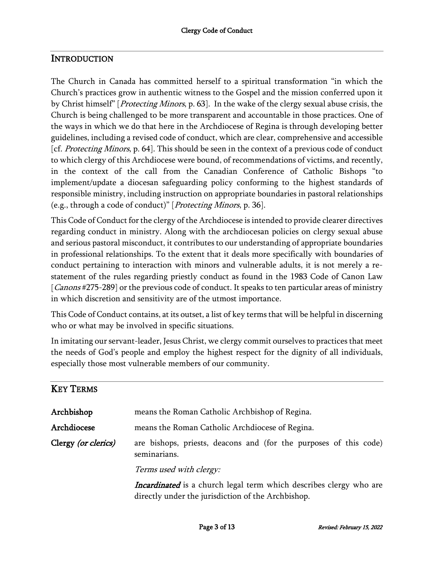#### **INTRODUCTION**

The Church in Canada has committed herself to a spiritual transformation "in which the Church's practices grow in authentic witness to the Gospel and the mission conferred upon it by Christ himself" [*Protecting Minors*, p. 63]. In the wake of the clergy sexual abuse crisis, the Church is being challenged to be more transparent and accountable in those practices. One of the ways in which we do that here in the Archdiocese of Regina is through developing better guidelines, including a revised code of conduct, which are clear, comprehensive and accessible [cf. Protecting Minors, p. 64]. This should be seen in the context of a previous code of conduct to which clergy of this Archdiocese were bound, of recommendations of victims, and recently, in the context of the call from the Canadian Conference of Catholic Bishops "to implement/update a diocesan safeguarding policy conforming to the highest standards of responsible ministry, including instruction on appropriate boundaries in pastoral relationships (e.g., through a code of conduct)" [Protecting Minors, p. 36].

This Code of Conduct forthe clergy of the Archdiocese is intended to provide clearer directives regarding conduct in ministry. Along with the archdiocesan policies on clergy sexual abuse and serious pastoral misconduct, it contributes to our understanding of appropriate boundaries in professional relationships. To the extent that it deals more specifically with boundaries of conduct pertaining to interaction with minors and vulnerable adults, it is not merely a restatement of the rules regarding priestly conduct as found in the 1983 Code of Canon Law [*Canons* #275-289] or the previous code of conduct. It speaks to ten particular areas of ministry in which discretion and sensitivity are of the utmost importance.

This Code of Conduct contains, at its outset, a list of key terms that will be helpful in discerning who or what may be involved in specific situations.

In imitating our servant-leader, Jesus Christ, we clergy commit ourselves to practices that meet the needs of God's people and employ the highest respect for the dignity of all individuals, especially those most vulnerable members of our community.

| <b>KEY TERMS</b>    |                                                                                                                                 |
|---------------------|---------------------------------------------------------------------------------------------------------------------------------|
| Archbishop          | means the Roman Catholic Archbishop of Regina.                                                                                  |
| Archdiocese         | means the Roman Catholic Archdiocese of Regina.                                                                                 |
| Clergy (or clerics) | are bishops, priests, deacons and (for the purposes of this code)<br>seminarians.                                               |
|                     | Terms used with clergy:                                                                                                         |
|                     | <i>Incardinated</i> is a church legal term which describes clergy who are<br>directly under the jurisdiction of the Archbishop. |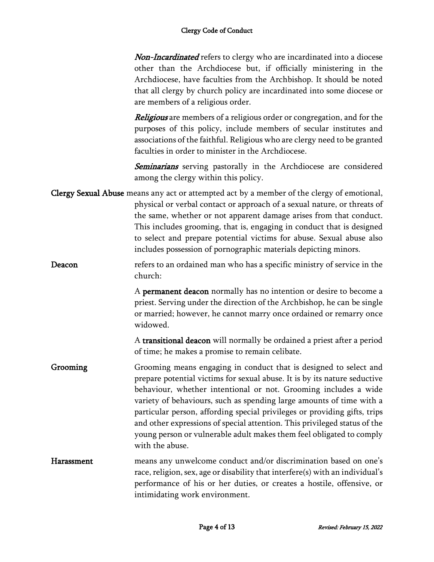**Non-Incardinated** refers to clergy who are incardinated into a diocese other than the Archdiocese but, if officially ministering in the Archdiocese, have faculties from the Archbishop. It should be noted that all clergy by church policy are incardinated into some diocese or are members of a religious order.

**Religious** are members of a religious order or congregation, and for the purposes of this policy, include members of secular institutes and associations of the faithful. Religious who are clergy need to be granted faculties in order to minister in the Archdiocese.

Seminarians serving pastorally in the Archdiocese are considered among the clergy within this policy.

- Clergy Sexual Abuse means any act or attempted act by a member of the clergy of emotional, physical or verbal contact or approach of a sexual nature, or threats of the same, whether or not apparent damage arises from that conduct. This includes grooming, that is, engaging in conduct that is designed to select and prepare potential victims for abuse. Sexual abuse also includes possession of pornographic materials depicting minors.
- Deacon refers to an ordained man who has a specific ministry of service in the church:

A permanent deacon normally has no intention or desire to become a priest. Serving under the direction of the Archbishop, he can be single or married; however, he cannot marry once ordained or remarry once widowed.

A transitional deacon will normally be ordained a priest after a period of time; he makes a promise to remain celibate.

- Grooming Grooming means engaging in conduct that is designed to select and prepare potential victims for sexual abuse. It is by its nature seductive behaviour, whether intentional or not. Grooming includes a wide variety of behaviours, such as spending large amounts of time with a particular person, affording special privileges or providing gifts, trips and other expressions of special attention. This privileged status of the young person or vulnerable adult makes them feel obligated to comply with the abuse.
- Harassment means any unwelcome conduct and/or discrimination based on one's race, religion, sex, age or disability that interfere(s) with an individual's performance of his or her duties, or creates a hostile, offensive, or intimidating work environment.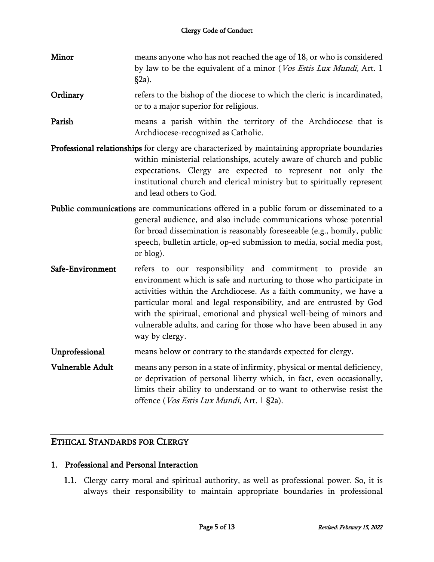| Minor            | means anyone who has not reached the age of 18, or who is considered<br>by law to be the equivalent of a minor (Vos Estis Lux Mundi, Art. 1<br>$§2a)$ .                                                                                                                                                                                                                                                                                       |
|------------------|-----------------------------------------------------------------------------------------------------------------------------------------------------------------------------------------------------------------------------------------------------------------------------------------------------------------------------------------------------------------------------------------------------------------------------------------------|
| Ordinary         | refers to the bishop of the diocese to which the cleric is incardinated,<br>or to a major superior for religious.                                                                                                                                                                                                                                                                                                                             |
| Parish           | means a parish within the territory of the Archdiocese that is<br>Archdiocese-recognized as Catholic.                                                                                                                                                                                                                                                                                                                                         |
|                  | Professional relationships for clergy are characterized by maintaining appropriate boundaries<br>within ministerial relationships, acutely aware of church and public<br>expectations. Clergy are expected to represent not only the<br>institutional church and clerical ministry but to spiritually represent<br>and lead others to God.                                                                                                    |
|                  | Public communications are communications offered in a public forum or disseminated to a<br>general audience, and also include communications whose potential<br>for broad dissemination is reasonably foreseeable (e.g., homily, public<br>speech, bulletin article, op-ed submission to media, social media post,<br>or blog).                                                                                                               |
| Safe-Environment | refers to our responsibility and commitment to provide an<br>environment which is safe and nurturing to those who participate in<br>activities within the Archdiocese. As a faith community, we have a<br>particular moral and legal responsibility, and are entrusted by God<br>with the spiritual, emotional and physical well-being of minors and<br>vulnerable adults, and caring for those who have been abused in any<br>way by clergy. |
| Unprofessional   | means below or contrary to the standards expected for clergy.                                                                                                                                                                                                                                                                                                                                                                                 |
| Vulnerable Adult | means any person in a state of infirmity, physical or mental deficiency,<br>or deprivation of personal liberty which, in fact, even occasionally,<br>limits their ability to understand or to want to otherwise resist the<br>offence (Vos Estis Lux Mundi, Art. 1 §2a).                                                                                                                                                                      |

#### ETHICAL STANDARDS FOR CLERGY

#### 1. Professional and Personal Interaction

1.1. Clergy carry moral and spiritual authority, as well as professional power. So, it is always their responsibility to maintain appropriate boundaries in professional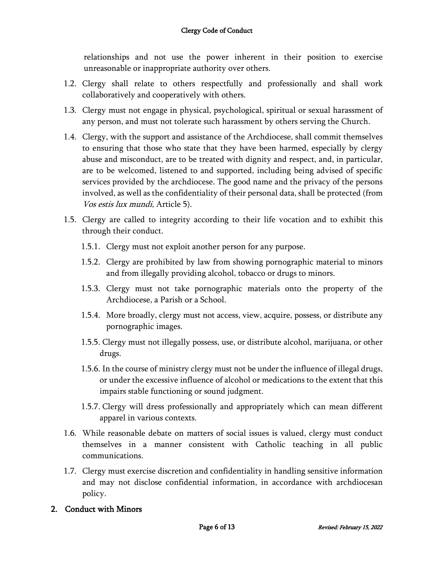relationships and not use the power inherent in their position to exercise unreasonable or inappropriate authority over others.

- 1.2. Clergy shall relate to others respectfully and professionally and shall work collaboratively and cooperatively with others.
- 1.3. Clergy must not engage in physical, psychological, spiritual or sexual harassment of any person, and must not tolerate such harassment by others serving the Church.
- 1.4. Clergy, with the support and assistance of the Archdiocese, shall commit themselves to ensuring that those who state that they have been harmed, especially by clergy abuse and misconduct, are to be treated with dignity and respect, and, in particular, are to be welcomed, listened to and supported, including being advised of specific services provided by the archdiocese. The good name and the privacy of the persons involved, as well as the confidentiality of their personal data, shall be protected (from Vos estis lux mundi, Article 5).
- 1.5. Clergy are called to integrity according to their life vocation and to exhibit this through their conduct.
	- 1.5.1. Clergy must not exploit another person for any purpose.
	- 1.5.2. Clergy are prohibited by law from showing pornographic material to minors and from illegally providing alcohol, tobacco or drugs to minors.
	- 1.5.3. Clergy must not take pornographic materials onto the property of the Archdiocese, a Parish or a School.
	- 1.5.4. More broadly, clergy must not access, view, acquire, possess, or distribute any pornographic images.
	- 1.5.5. Clergy must not illegally possess, use, or distribute alcohol, marijuana, or other drugs.
	- 1.5.6. In the course of ministry clergy must not be under the influence of illegal drugs, or under the excessive influence of alcohol or medications to the extent that this impairs stable functioning or sound judgment.
	- 1.5.7. Clergy will dress professionally and appropriately which can mean different apparel in various contexts.
- 1.6. While reasonable debate on matters of social issues is valued, clergy must conduct themselves in a manner consistent with Catholic teaching in all public communications.
- 1.7. Clergy must exercise discretion and confidentiality in handling sensitive information and may not disclose confidential information, in accordance with archdiocesan policy.
- 2. Conduct with Minors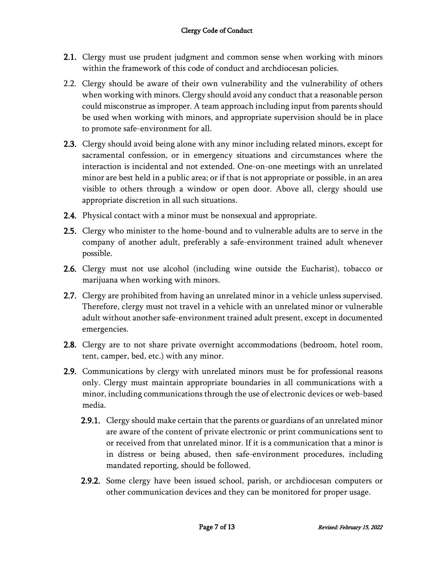- 2.1. Clergy must use prudent judgment and common sense when working with minors within the framework of this code of conduct and archdiocesan policies.
- 2.2. Clergy should be aware of their own vulnerability and the vulnerability of others when working with minors. Clergy should avoid any conduct that a reasonable person could misconstrue as improper. A team approach including input from parents should be used when working with minors, and appropriate supervision should be in place to promote safe-environment for all.
- **2.3.** Clergy should avoid being alone with any minor including related minors, except for sacramental confession, or in emergency situations and circumstances where the interaction is incidental and not extended. One-on-one meetings with an unrelated minor are best held in a public area; or if that is not appropriate or possible, in an area visible to others through a window or open door. Above all, clergy should use appropriate discretion in all such situations.
- **2.4.** Physical contact with a minor must be nonsexual and appropriate.
- 2.5. Clergy who minister to the home-bound and to vulnerable adults are to serve in the company of another adult, preferably a safe-environment trained adult whenever possible.
- 2.6. Clergy must not use alcohol (including wine outside the Eucharist), tobacco or marijuana when working with minors.
- 2.7. Clergy are prohibited from having an unrelated minor in a vehicle unless supervised. Therefore, clergy must not travel in a vehicle with an unrelated minor or vulnerable adult without another safe-environment trained adult present, except in documented emergencies.
- 2.8. Clergy are to not share private overnight accommodations (bedroom, hotel room, tent, camper, bed, etc.) with any minor.
- 2.9. Communications by clergy with unrelated minors must be for professional reasons only. Clergy must maintain appropriate boundaries in all communications with a minor, including communications through the use of electronic devices or web-based media.
	- 2.9.1. Clergy should make certain that the parents or guardians of an unrelated minor are aware of the content of private electronic or print communications sent to or received from that unrelated minor. If it is a communication that a minor is in distress or being abused, then safe-environment procedures, including mandated reporting, should be followed.
	- 2.9.2. Some clergy have been issued school, parish, or archdiocesan computers or other communication devices and they can be monitored for proper usage.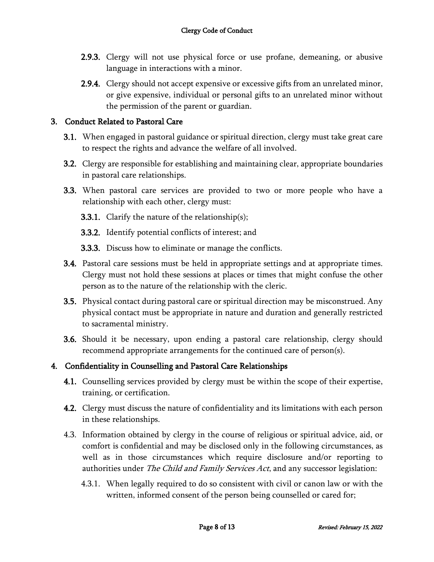- 2.9.3. Clergy will not use physical force or use profane, demeaning, or abusive language in interactions with a minor.
- 2.9.4. Clergy should not accept expensive or excessive gifts from an unrelated minor, or give expensive, individual or personal gifts to an unrelated minor without the permission of the parent or guardian.

#### 3. Conduct Related to Pastoral Care

- 3.1. When engaged in pastoral guidance or spiritual direction, clergy must take great care to respect the rights and advance the welfare of all involved.
- 3.2. Clergy are responsible for establishing and maintaining clear, appropriate boundaries in pastoral care relationships.
- 3.3. When pastoral care services are provided to two or more people who have a relationship with each other, clergy must:
	- **3.3.1.** Clarify the nature of the relationship(s);
	- 3.3.2. Identify potential conflicts of interest; and
	- **3.3.3.** Discuss how to eliminate or manage the conflicts.
- **3.4.** Pastoral care sessions must be held in appropriate settings and at appropriate times. Clergy must not hold these sessions at places or times that might confuse the other person as to the nature of the relationship with the cleric.
- 3.5. Physical contact during pastoral care or spiritual direction may be misconstrued. Any physical contact must be appropriate in nature and duration and generally restricted to sacramental ministry.
- 3.6. Should it be necessary, upon ending a pastoral care relationship, clergy should recommend appropriate arrangements for the continued care of person(s).

#### 4. Confidentiality in Counselling and Pastoral Care Relationships

- **4.1.** Counselling services provided by clergy must be within the scope of their expertise, training, or certification.
- **4.2.** Clergy must discuss the nature of confidentiality and its limitations with each person in these relationships.
- 4.3. Information obtained by clergy in the course of religious or spiritual advice, aid, or comfort is confidential and may be disclosed only in the following circumstances, as well as in those circumstances which require disclosure and/or reporting to authorities under The Child and Family Services Act, and any successor legislation:
	- 4.3.1. When legally required to do so consistent with civil or canon law or with the written, informed consent of the person being counselled or cared for;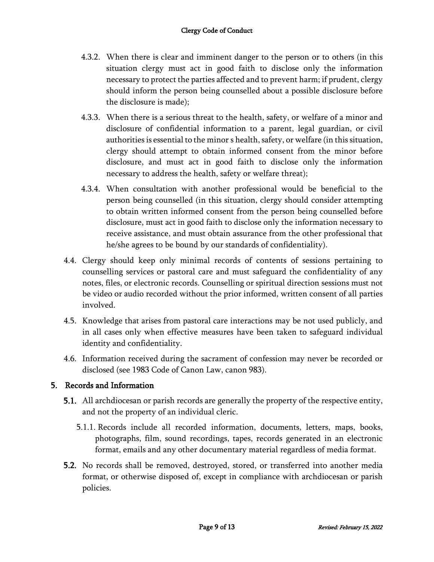- 4.3.2. When there is clear and imminent danger to the person or to others (in this situation clergy must act in good faith to disclose only the information necessary to protect the parties affected and to prevent harm; if prudent, clergy should inform the person being counselled about a possible disclosure before the disclosure is made);
- 4.3.3. When there is a serious threat to the health, safety, or welfare of a minor and disclosure of confidential information to a parent, legal guardian, or civil authorities is essential to the minor s health, safety, or welfare (in this situation, clergy should attempt to obtain informed consent from the minor before disclosure, and must act in good faith to disclose only the information necessary to address the health, safety or welfare threat);
- 4.3.4. When consultation with another professional would be beneficial to the person being counselled (in this situation, clergy should consider attempting to obtain written informed consent from the person being counselled before disclosure, must act in good faith to disclose only the information necessary to receive assistance, and must obtain assurance from the other professional that he/she agrees to be bound by our standards of confidentiality).
- 4.4. Clergy should keep only minimal records of contents of sessions pertaining to counselling services or pastoral care and must safeguard the confidentiality of any notes, files, or electronic records. Counselling or spiritual direction sessions must not be video or audio recorded without the prior informed, written consent of all parties involved.
- 4.5. Knowledge that arises from pastoral care interactions may be not used publicly, and in all cases only when effective measures have been taken to safeguard individual identity and confidentiality.
- 4.6. Information received during the sacrament of confession may never be recorded or disclosed (see 1983 Code of Canon Law, canon 983).

#### 5. Records and Information

- 5.1. All archdiocesan or parish records are generally the property of the respective entity, and not the property of an individual cleric.
	- 5.1.1. Records include all recorded information, documents, letters, maps, books, photographs, film, sound recordings, tapes, records generated in an electronic format, emails and any other documentary material regardless of media format.
- 5.2. No records shall be removed, destroyed, stored, or transferred into another media format, or otherwise disposed of, except in compliance with archdiocesan or parish policies.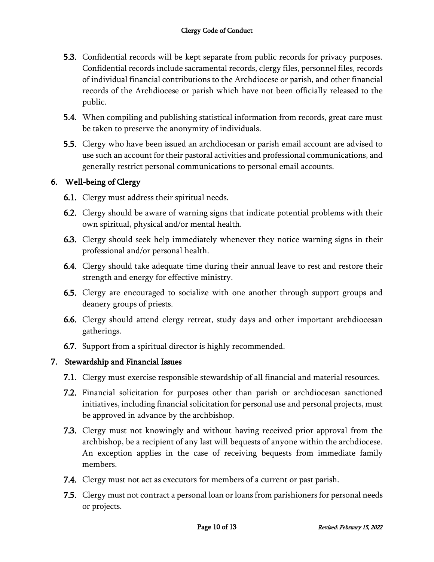- **5.3.** Confidential records will be kept separate from public records for privacy purposes. Confidential records include sacramental records, clergy files, personnel files, records of individual financial contributions to the Archdiocese or parish, and other financial records of the Archdiocese or parish which have not been officially released to the public.
- **5.4.** When compiling and publishing statistical information from records, great care must be taken to preserve the anonymity of individuals.
- 5.5. Clergy who have been issued an archdiocesan or parish email account are advised to use such an account for their pastoral activities and professional communications, and generally restrict personal communications to personal email accounts.

#### 6. Well-being of Clergy

- 6.1. Clergy must address their spiritual needs.
- 6.2. Clergy should be aware of warning signs that indicate potential problems with their own spiritual, physical and/or mental health.
- 6.3. Clergy should seek help immediately whenever they notice warning signs in their professional and/or personal health.
- 6.4. Clergy should take adequate time during their annual leave to rest and restore their strength and energy for effective ministry.
- 6.5. Clergy are encouraged to socialize with one another through support groups and deanery groups of priests.
- 6.6. Clergy should attend clergy retreat, study days and other important archdiocesan gatherings.
- 6.7. Support from a spiritual director is highly recommended.

#### 7. Stewardship and Financial Issues

- 7.1. Clergy must exercise responsible stewardship of all financial and material resources.
- 7.2. Financial solicitation for purposes other than parish or archdiocesan sanctioned initiatives, including financial solicitation for personal use and personal projects, must be approved in advance by the archbishop.
- 7.3. Clergy must not knowingly and without having received prior approval from the archbishop, be a recipient of any last will bequests of anyone within the archdiocese. An exception applies in the case of receiving bequests from immediate family members.
- 7.4. Clergy must not act as executors for members of a current or past parish.
- 7.5. Clergy must not contract a personal loan or loans from parishioners for personal needs or projects.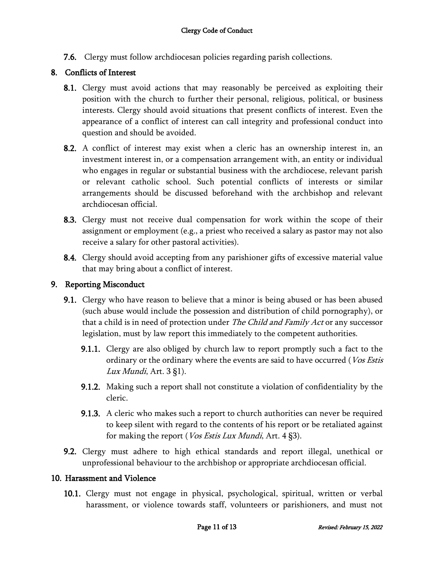7.6. Clergy must follow archdiocesan policies regarding parish collections.

#### 8. Conflicts of Interest

- 8.1. Clergy must avoid actions that may reasonably be perceived as exploiting their position with the church to further their personal, religious, political, or business interests. Clergy should avoid situations that present conflicts of interest. Even the appearance of a conflict of interest can call integrity and professional conduct into question and should be avoided.
- 8.2. A conflict of interest may exist when a cleric has an ownership interest in, an investment interest in, or a compensation arrangement with, an entity or individual who engages in regular or substantial business with the archdiocese, relevant parish or relevant catholic school. Such potential conflicts of interests or similar arrangements should be discussed beforehand with the archbishop and relevant archdiocesan official.
- **8.3.** Clergy must not receive dual compensation for work within the scope of their assignment or employment (e.g., a priest who received a salary as pastor may not also receive a salary for other pastoral activities).
- **8.4.** Clergy should avoid accepting from any parishioner gifts of excessive material value that may bring about a conflict of interest.

#### 9. Reporting Misconduct

- **9.1.** Clergy who have reason to believe that a minor is being abused or has been abused (such abuse would include the possession and distribution of child pornography), or that a child is in need of protection under *The Child and Family Act* or any successor legislation, must by law report this immediately to the competent authorities.
	- **9.1.1.** Clergy are also obliged by church law to report promptly such a fact to the ordinary or the ordinary where the events are said to have occurred (Vos Estis Lux Mundi, Art.  $3 \xi$ 1).
	- 9.1.2. Making such a report shall not constitute a violation of confidentiality by the cleric.
	- 9.1.3. A cleric who makes such a report to church authorities can never be required to keep silent with regard to the contents of his report or be retaliated against for making the report (*Vos Estis Lux Mundi*, Art.  $4 \, \text{\$3}.$ ).
- 9.2. Clergy must adhere to high ethical standards and report illegal, unethical or unprofessional behaviour to the archbishop or appropriate archdiocesan official.

#### 10. Harassment and Violence

10.1. Clergy must not engage in physical, psychological, spiritual, written or verbal harassment, or violence towards staff, volunteers or parishioners, and must not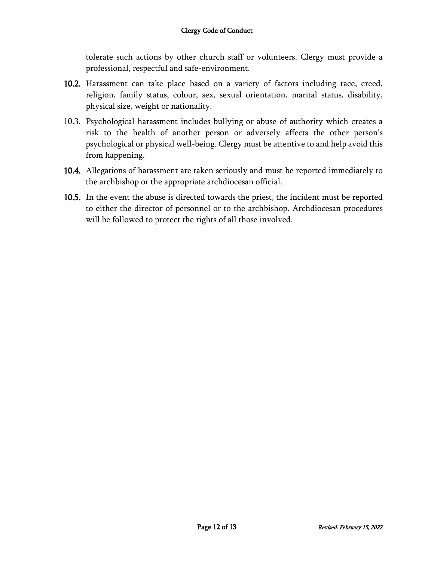tolerate such actions by other church staff or volunteers. Clergy must provide a professional, respectful and safe-environment.

- 10.2. Harassment can take place based on a variety of factors including race, creed, religion, family status, colour, sex, sexual orientation, marital status, disability, physical size, weight or nationality.
- 10.3. Psychological harassment includes bullying or abuse of authority which creates a risk to the health of another person or adversely affects the other person's psychological or physical well-being. Clergy must be attentive to and help avoid this from happening.
- 10.4. Allegations of harassment are taken seriously and must be reported immediately to the archbishop or the appropriate archdiocesan official.
- 10.5. In the event the abuse is directed towards the priest, the incident must be reported to either the director of personnel or to the archbishop. Archdiocesan procedures will be followed to protect the rights of all those involved.